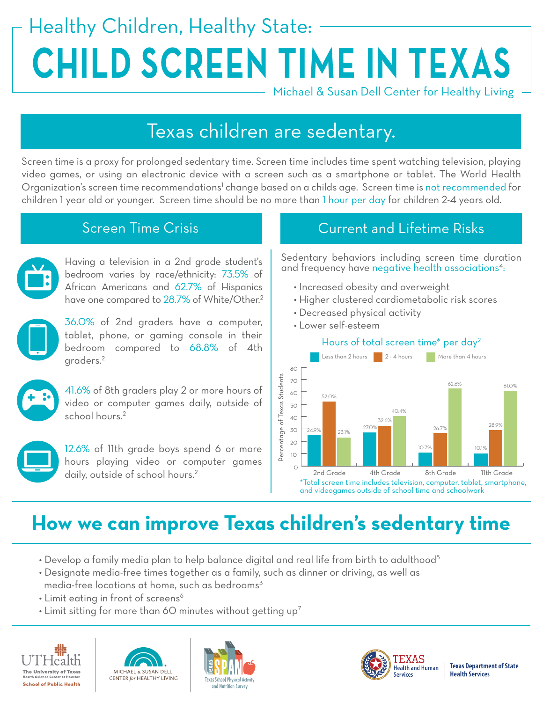# Healthy Children, Healthy State: **CHILD SCREEN TIME IN TEXAS**

Michael & Susan Dell Center for Healthy Living

# Texas children are sedentary.

Screen time is a proxy for prolonged sedentary time. Screen time includes time spent watching television, playing video games, or using an electronic device with a screen such as a smartphone or tablet. The World Health Organization's screen time recommendations<sup>1</sup> change based on a childs age. Screen time is not recommended for children 1 year old or younger. Screen time should be no more than 1 hour per day for children 2-4 years old.



Having a television in a 2nd grade student's bedroom varies by race/ethnicity: 73.5% of African Americans and 62.7% of Hispanics have one compared to 28.7% of White/Other.<sup>2</sup>

36.0% of 2nd graders have a computer, tablet, phone, or gaming console in their bedroom compared to 68.8% of 4th graders.2



video or computer games daily, outside of school hours.<sup>2</sup>



12.6% of 11th grade boys spend 6 or more hours playing video or computer games daily, outside of school hours.<sup>2</sup>

### Screen Time Crisis **Current and Lifetime Risks**

Sedentary behaviors including screen time duration and frequency have negative health associations<sup>4</sup>:

- Increased obesity and overweight
- Higher clustered cardiometabolic risk scores
- Decreased physical activity
- Lower self-esteem



# **How we can improve Texas children's sedentary time**

- Develop a family media plan to help balance digital and real life from birth to adulthood<sup>5</sup>
- Designate media-free times together as a family, such as dinner or driving, as well as media-free locations at home, such as bedrooms<sup>3</sup>
- Limit eating in front of screens<sup>6</sup>
- Limit sitting for more than 60 minutes without getting  $up^7$









**Texas Department of State Health Services**